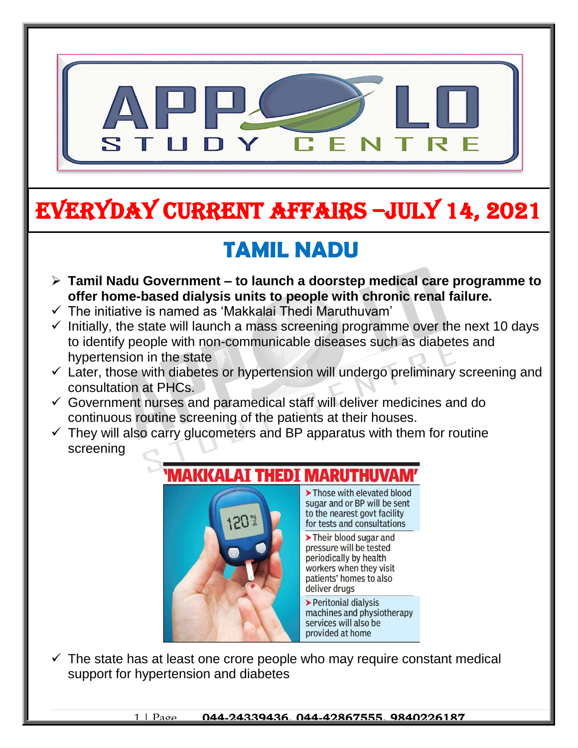

# EVERYDAY CURRENT AFFAIRS –jULY 14, 2021

# **TAMIL NADU**

- **Tamil Nadu Government – to launch a doorstep medical care programme to offer home-based dialysis units to people with chronic renal failure.**
- $\checkmark$  The initiative is named as 'Makkalai Thedi Maruthuvam'

-

- $\checkmark$  Initially, the state will launch a mass screening programme over the next 10 days to identify people with non-communicable diseases such as diabetes and hypertension in the state
- $\checkmark$  Later, those with diabetes or hypertension will undergo preliminary screening and consultation at PHCs.
- $\checkmark$  Government nurses and paramedical staff will deliver medicines and do continuous routine screening of the patients at their houses.
- $\checkmark$  They will also carry glucometers and BP apparatus with them for routine screening

#### **THEDI MAKKALAT**

120

> Those with elevated blood sugar and or BP will be sent to the nearest govt facility for tests and consultations

> Their blood sugar and pressure will be tested periodically by health workers when they visit patients' homes to also deliver drugs

> Peritonial dialysis machines and physiotherapy services will also be provided at home

 $\checkmark$  The state has at least one crore people who may require constant medical support for hypertension and diabetes

1 | Page **044-24339436, 044-42867555, 9840226187**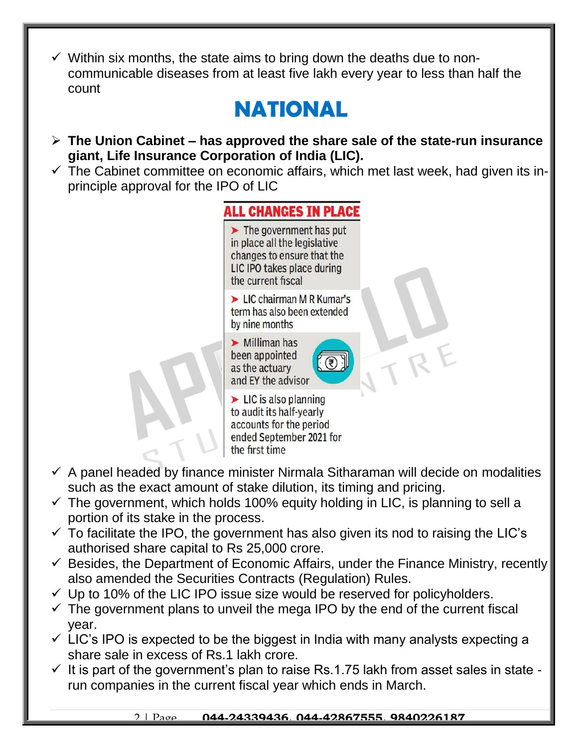$\checkmark$  Within six months, the state aims to bring down the deaths due to noncommunicable diseases from at least five lakh every year to less than half the count

# **NATIONAL**

- **The Union Cabinet – has approved the share sale of the state-run insurance giant, Life Insurance Corporation of India (LIC).**
- $\checkmark$  The Cabinet committee on economic affairs, which met last week, had given its inprinciple approval for the IPO of LIC



- $\checkmark$  A panel headed by finance minister Nirmala Sitharaman will decide on modalities such as the exact amount of stake dilution, its timing and pricing.
- $\checkmark$  The government, which holds 100% equity holding in LIC, is planning to sell a portion of its stake in the process.
- $\checkmark$  To facilitate the IPO, the government has also given its nod to raising the LIC's authorised share capital to Rs 25,000 crore.
- $\checkmark$  Besides, the Department of Economic Affairs, under the Finance Ministry, recently also amended the Securities Contracts (Regulation) Rules.
- $\checkmark$  Up to 10% of the LIC IPO issue size would be reserved for policyholders.
- $\checkmark$  The government plans to unveil the mega IPO by the end of the current fiscal year.
- $\checkmark$  LIC's IPO is expected to be the biggest in India with many analysts expecting a share sale in excess of Rs.1 lakh crore.
- $\checkmark$  It is part of the government's plan to raise Rs.1.75 lakh from asset sales in state run companies in the current fiscal year which ends in March.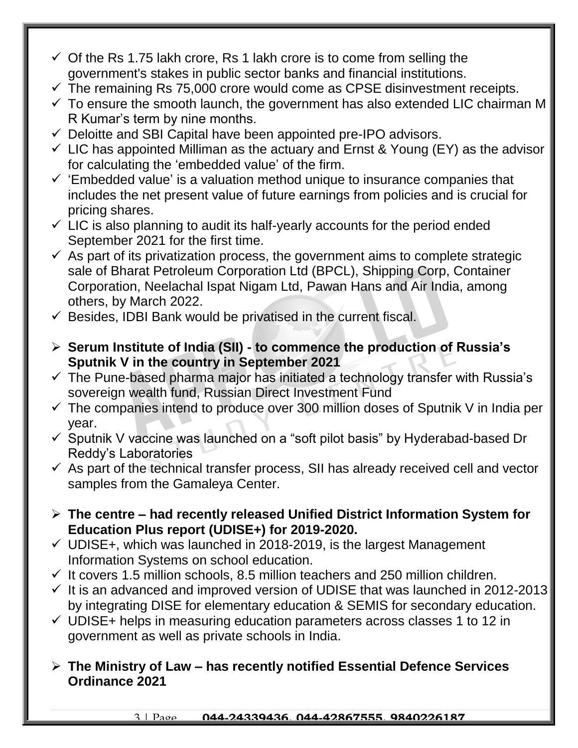- $\checkmark$  Of the Rs 1.75 lakh crore, Rs 1 lakh crore is to come from selling the government's stakes in public sector banks and financial institutions.
- $\checkmark$  The remaining Rs 75,000 crore would come as CPSE disinvestment receipts.
- $\checkmark$  To ensure the smooth launch, the government has also extended LIC chairman M R Kumar's term by nine months.
- $\checkmark$  Deloitte and SBI Capital have been appointed pre-IPO advisors.
- $\checkmark$  LIC has appointed Milliman as the actuary and Ernst & Young (EY) as the advisor for calculating the 'embedded value' of the firm.
- $\checkmark$  'Embedded value' is a valuation method unique to insurance companies that includes the net present value of future earnings from policies and is crucial for pricing shares.
- $\checkmark$  LIC is also planning to audit its half-yearly accounts for the period ended September 2021 for the first time.
- $\checkmark$  As part of its privatization process, the government aims to complete strategic sale of Bharat Petroleum Corporation Ltd (BPCL), Shipping Corp, Container Corporation, Neelachal Ispat Nigam Ltd, Pawan Hans and Air India, among others, by March 2022.
- $\checkmark$  Besides, IDBI Bank would be privatised in the current fiscal.
- **Serum Institute of India (SII) - to commence the production of Russia's Sputnik V in the country in September 2021**
- $\checkmark$  The Pune-based pharma major has initiated a technology transfer with Russia's sovereign wealth fund, Russian Direct Investment Fund
- $\checkmark$  The companies intend to produce over 300 million doses of Sputnik V in India per year.
- $\checkmark$  Sputnik V vaccine was launched on a "soft pilot basis" by Hyderabad-based Dr Reddy's Laboratories
- $\checkmark$  As part of the technical transfer process, SII has already received cell and vector samples from the Gamaleya Center.
- **The centre – had recently released Unified District Information System for Education Plus report (UDISE+) for 2019-2020.**
- $\checkmark$  UDISE+, which was launched in 2018-2019, is the largest Management Information Systems on school education.
- $\checkmark$  It covers 1.5 million schools, 8.5 million teachers and 250 million children.
- $\checkmark$  It is an advanced and improved version of UDISE that was launched in 2012-2013 by integrating DISE for elementary education & SEMIS for secondary education.
- $\checkmark$  UDISE+ helps in measuring education parameters across classes 1 to 12 in government as well as private schools in India.
- **The Ministry of Law – has recently notified Essential Defence Services Ordinance 2021**

3 | Page **044-24339436, 044-42867555, 9840226187**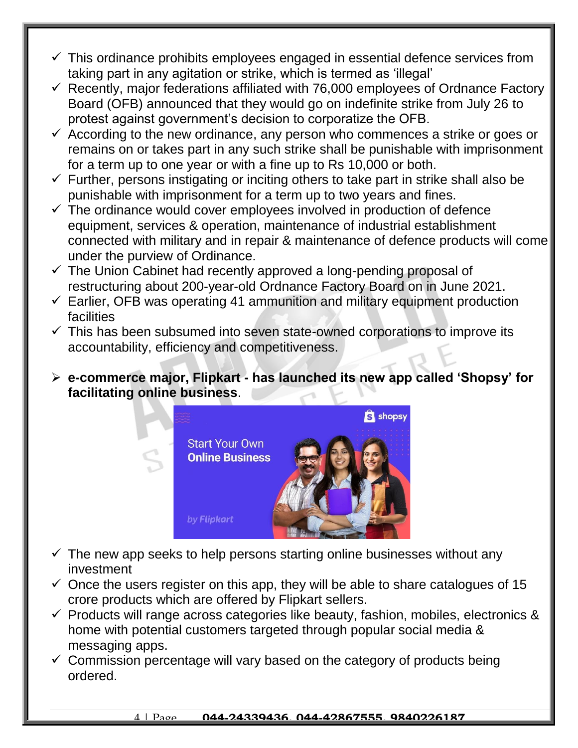- $\checkmark$  This ordinance prohibits employees engaged in essential defence services from taking part in any agitation or strike, which is termed as 'illegal'
- $\checkmark$  Recently, major federations affiliated with 76,000 employees of Ordnance Factory Board (OFB) announced that they would go on indefinite strike from July 26 to protest against government's decision to corporatize the OFB.
- $\checkmark$  According to the new ordinance, any person who commences a strike or goes or remains on or takes part in any such strike shall be punishable with imprisonment for a term up to one year or with a fine up to Rs 10,000 or both.
- $\checkmark$  Further, persons instigating or inciting others to take part in strike shall also be punishable with imprisonment for a term up to two years and fines.
- $\checkmark$  The ordinance would cover employees involved in production of defence equipment, services & operation, maintenance of industrial establishment connected with military and in repair & maintenance of defence products will come under the purview of Ordinance.
- $\checkmark$  The Union Cabinet had recently approved a long-pending proposal of restructuring about 200-year-old Ordnance Factory Board on in June 2021.
- $\checkmark$  Earlier, OFB was operating 41 ammunition and military equipment production facilities
- $\checkmark$  This has been subsumed into seven state-owned corporations to improve its accountability, efficiency and competitiveness.
- **e-commerce major, Flipkart - has launched its new app called 'Shopsy' for facilitating online business**.



- $\checkmark$  The new app seeks to help persons starting online businesses without any investment
- $\checkmark$  Once the users register on this app, they will be able to share catalogues of 15 crore products which are offered by Flipkart sellers.
- $\checkmark$  Products will range across categories like beauty, fashion, mobiles, electronics & home with potential customers targeted through popular social media & messaging apps.
- $\checkmark$  Commission percentage will vary based on the category of products being ordered.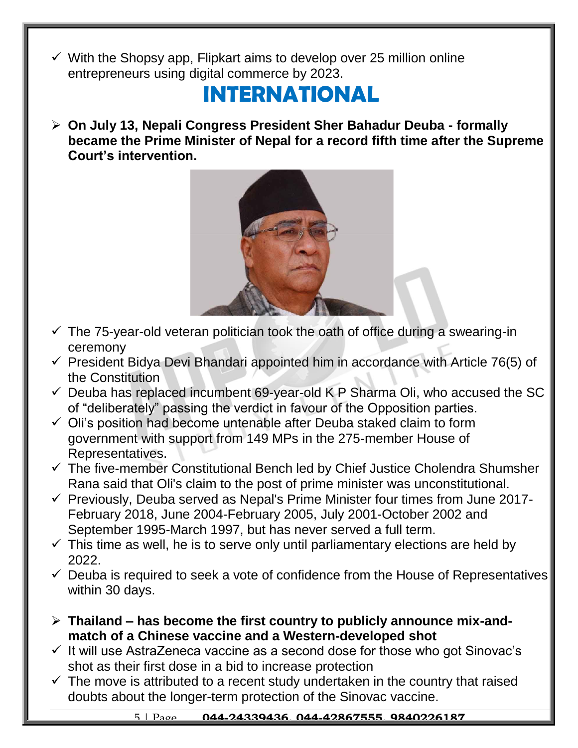$\checkmark$  With the Shopsy app, Flipkart aims to develop over 25 million online entrepreneurs using digital commerce by 2023.

#### **INTERNATIONAL**

 **On July 13, Nepali Congress President Sher Bahadur Deuba - formally became the Prime Minister of Nepal for a record fifth time after the Supreme Court's intervention.**



- $\checkmark$  The 75-year-old veteran politician took the oath of office during a swearing-in ceremony
- $\checkmark$  President Bidya Devi Bhandari appointed him in accordance with Article 76(5) of the Constitution
- $\checkmark$  Deuba has replaced incumbent 69-year-old K P Sharma Oli, who accused the SC of "deliberately" passing the verdict in favour of the Opposition parties.
- $\checkmark$  Oli's position had become untenable after Deuba staked claim to form government with support from 149 MPs in the 275-member House of Representatives.
- $\checkmark$  The five-member Constitutional Bench led by Chief Justice Cholendra Shumsher Rana said that Oli's claim to the post of prime minister was unconstitutional.
- $\checkmark$  Previously, Deuba served as Nepal's Prime Minister four times from June 2017-February 2018, June 2004-February 2005, July 2001-October 2002 and September 1995-March 1997, but has never served a full term.
- $\checkmark$  This time as well, he is to serve only until parliamentary elections are held by 2022.
- $\checkmark$  Deuba is required to seek a vote of confidence from the House of Representatives within 30 days.
- **Thailand – has become the first country to publicly announce mix-andmatch of a Chinese vaccine and a Western-developed shot**
- $\checkmark$  It will use AstraZeneca vaccine as a second dose for those who got Sinovac's shot as their first dose in a bid to increase protection
- $\checkmark$  The move is attributed to a recent study undertaken in the country that raised doubts about the longer-term protection of the Sinovac vaccine.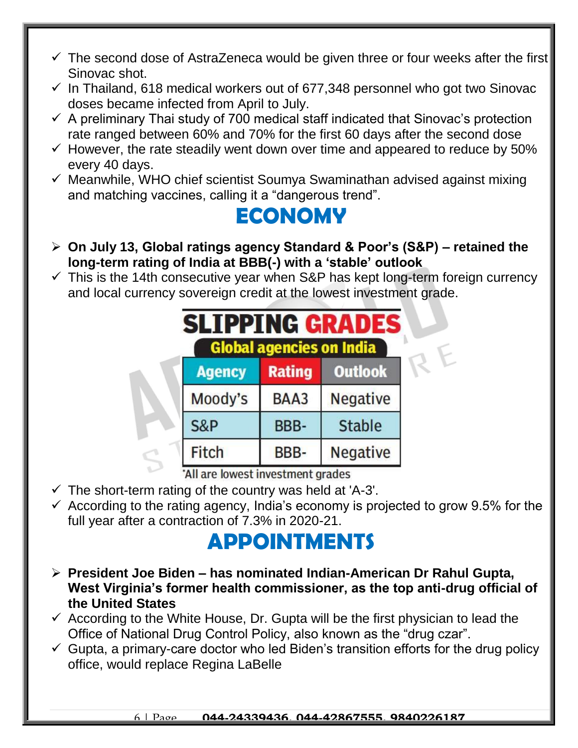- $\checkmark$  The second dose of AstraZeneca would be given three or four weeks after the first Sinovac shot.
- $\checkmark$  In Thailand, 618 medical workers out of 677,348 personnel who got two Sinovac doses became infected from April to July.
- $\checkmark$  A preliminary Thai study of 700 medical staff indicated that Sinovac's protection rate ranged between 60% and 70% for the first 60 days after the second dose
- $\checkmark$  However, the rate steadily went down over time and appeared to reduce by 50% every 40 days.
- $\checkmark$  Meanwhile, WHO chief scientist Soumya Swaminathan advised against mixing and matching vaccines, calling it a "dangerous trend".

### **ECONOMY**

- **On July 13, Global ratings agency Standard & Poor's (S&P) – retained the long-term rating of India at BBB(-) with a 'stable' outlook**
- $\checkmark$  This is the 14th consecutive year when S&P has kept long-term foreign currency and local currency sovereign credit at the lowest investment grade.

| <b>SLIPPING GRADES</b><br><b>Global agencies on India</b> |                |               |                 |
|-----------------------------------------------------------|----------------|---------------|-----------------|
|                                                           | <b>Agency</b>  | <b>Rating</b> | <b>Outlook</b>  |
|                                                           | Moody's        | BAA3          | Negative        |
|                                                           | <b>S&amp;P</b> | BBB-          | <b>Stable</b>   |
|                                                           | Fitch          | BBB-          | <b>Negative</b> |

All are lowest investment grades

- $\checkmark$  The short-term rating of the country was held at 'A-3'.
- $\checkmark$  According to the rating agency, India's economy is projected to grow 9.5% for the full year after a contraction of 7.3% in 2020-21.

# **APPOINTMENTS**

- **President Joe Biden – has nominated Indian-American Dr Rahul Gupta, West Virginia's former health commissioner, as the top anti-drug official of the United States**
- $\checkmark$  According to the White House, Dr. Gupta will be the first physician to lead the Office of National Drug Control Policy, also known as the "drug czar".
- $\checkmark$  Gupta, a primary-care doctor who led Biden's transition efforts for the drug policy office, would replace Regina LaBelle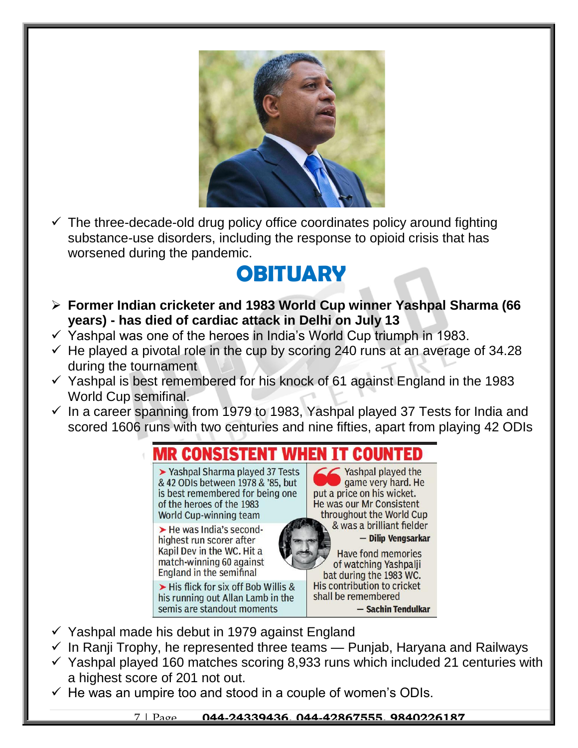

 $\checkmark$  The three-decade-old drug policy office coordinates policy around fighting substance-use disorders, including the response to opioid crisis that has worsened during the pandemic.

#### **OBITUARY**

- **Former Indian cricketer and 1983 World Cup winner Yashpal Sharma (66 years) - has died of cardiac attack in Delhi on July 13**
- $\checkmark$  Yashpal was one of the heroes in India's World Cup triumph in 1983.
- $\checkmark$  He played a pivotal role in the cup by scoring 240 runs at an average of 34.28 during the tournament
- $\checkmark$  Yashpal is best remembered for his knock of 61 against England in the 1983 World Cup semifinal.
- $\checkmark$  In a career spanning from 1979 to 1983, Yashpal played 37 Tests for India and scored 1606 runs with two centuries and nine fifties, apart from playing 42 ODIs



- $\checkmark$  Yashpal made his debut in 1979 against England
- $\checkmark$  In Ranji Trophy, he represented three teams Punjab, Haryana and Railways
- $\checkmark$  Yashpal played 160 matches scoring 8,933 runs which included 21 centuries with a highest score of 201 not out.
- $\checkmark$  He was an umpire too and stood in a couple of women's ODIs.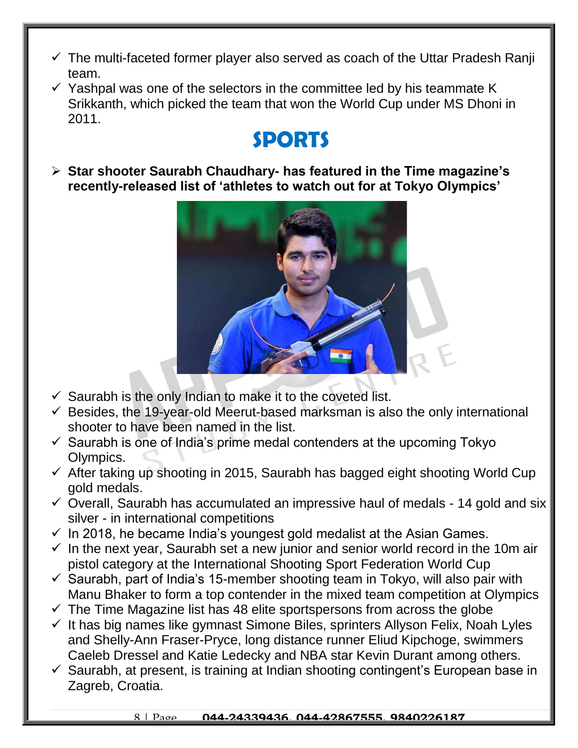- $\checkmark$  The multi-faceted former player also served as coach of the Uttar Pradesh Ranji team.
- $\checkmark$  Yashpal was one of the selectors in the committee led by his teammate K Srikkanth, which picked the team that won the World Cup under MS Dhoni in 2011.

## **SPORTS**

 **Star shooter Saurabh Chaudhary- has featured in the Time magazine's recently-released list of 'athletes to watch out for at Tokyo Olympics'**



- $\checkmark$  Saurabh is the only Indian to make it to the coveted list.
- $\checkmark$  Besides, the 19-year-old Meerut-based marksman is also the only international shooter to have been named in the list.
- $\checkmark$  Saurabh is one of India's prime medal contenders at the upcoming Tokyo Olympics.
- $\checkmark$  After taking up shooting in 2015, Saurabh has bagged eight shooting World Cup gold medals.
- $\checkmark$  Overall, Saurabh has accumulated an impressive haul of medals 14 gold and six silver - in international competitions
- $\checkmark$  In 2018, he became India's youngest gold medalist at the Asian Games.
- $\checkmark$  In the next year, Saurabh set a new junior and senior world record in the 10m air pistol category at the International Shooting Sport Federation World Cup
- $\checkmark$  Saurabh, part of India's 15-member shooting team in Tokyo, will also pair with Manu Bhaker to form a top contender in the mixed team competition at Olympics
- $\checkmark$  The Time Magazine list has 48 elite sportspersons from across the globe
- $\checkmark$  It has big names like gymnast Simone Biles, sprinters Allyson Felix, Noah Lyles and Shelly-Ann Fraser-Pryce, long distance runner Eliud Kipchoge, swimmers Caeleb Dressel and Katie Ledecky and NBA star Kevin Durant among others.
- $\checkmark$  Saurabh, at present, is training at Indian shooting contingent's European base in Zagreb, Croatia.